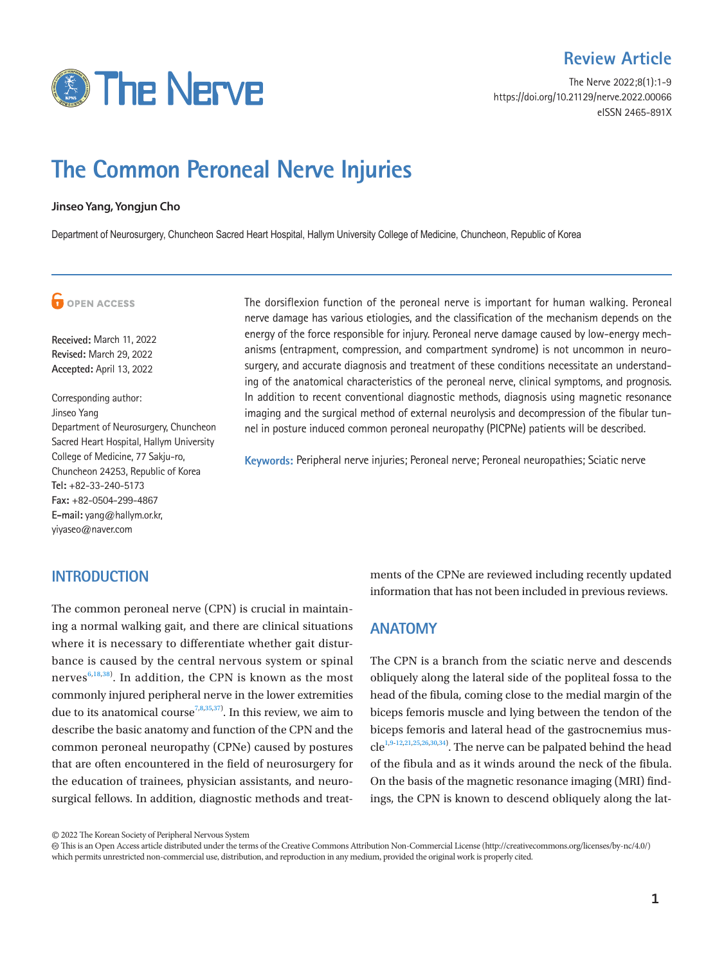

The Nerve 2022;8(1):1-9 https://doi.org/10.21129/nerve.2022.00066 eISSN 2465-891X

# **The Common Peroneal Nerve Injuries**

#### **Jinseo Yang, Yongjun Cho**

Department of Neurosurgery, Chuncheon Sacred Heart Hospital, Hallym University College of Medicine, Chuncheon, Republic of Korea

## **G** OPEN ACCESS

**Received:** March 11, 2022 **Revised:** March 29, 2022 **Accepted:** April 13, 2022

Corresponding author: Jinseo Yang Department of Neurosurgery, Chuncheon Sacred Heart Hospital, Hallym University College of Medicine, 77 Sakju-ro, Chuncheon 24253, Republic of Korea **Tel:** +82-33-240-5173 **Fax:** +82-0504-299-4867 **E-mail:** yang@hallym.or.kr, yiyaseo@naver.com

## **INTRODUCTION**

The common peroneal nerve (CPN) is crucial in maintaining a normal walking gait, and there are clinical situations where it is necessary to differentiate whether gait disturbance is caused by the central nervous system or spinal nerves $6,18,38$  $6,18,38$  $6,18,38$  $6,18,38$ ). In addition, the CPN is known as the most commonly injured peripheral nerve in the lower extremities due to its anatomical course<sup>7,[8](#page-7-3),[35](#page-8-1),37</sup>. In this review, we aim to describe the basic anatomy and function of the CPN and the common peroneal neuropathy (CPNe) caused by postures that are often encountered in the field of neurosurgery for the education of trainees, physician assistants, and neurosurgical fellows. In addition, diagnostic methods and treat-

The dorsiflexion function of the peroneal nerve is important for human walking. Peroneal nerve damage has various etiologies, and the classification of the mechanism depends on the energy of the force responsible for injury. Peroneal nerve damage caused by low-energy mechanisms (entrapment, compression, and compartment syndrome) is not uncommon in neurosurgery, and accurate diagnosis and treatment of these conditions necessitate an understanding of the anatomical characteristics of the peroneal nerve, clinical symptoms, and prognosis. In addition to recent conventional diagnostic methods, diagnosis using magnetic resonance imaging and the surgical method of external neurolysis and decompression of the fibular tunnel in posture induced common peroneal neuropathy (PICPNe) patients will be described.

**Keywords:** Peripheral nerve injuries; Peroneal nerve; Peroneal neuropathies; Sciatic nerve

ments of the CPNe are reviewed including recently updated information that has not been included in previous reviews.

### **ANATOMY**

The CPN is a branch from the sciatic nerve and descends obliquely along the lateral side of the popliteal fossa to the head of the fibula, coming close to the medial margin of the biceps femoris muscle and lying between the tendon of the biceps femoris and lateral head of the gastrocnemius mus- $cle^{1,9-12,21,25,26,30,34}$  $cle^{1,9-12,21,25,26,30,34}$  $cle^{1,9-12,21,25,26,30,34}$  $cle^{1,9-12,21,25,26,30,34}$  $cle^{1,9-12,21,25,26,30,34}$  $cle^{1,9-12,21,25,26,30,34}$  $cle^{1,9-12,21,25,26,30,34}$  $cle^{1,9-12,21,25,26,30,34}$  $cle^{1,9-12,21,25,26,30,34}$  $cle^{1,9-12,21,25,26,30,34}$ . The nerve can be palpated behind the head of the fibula and as it winds around the neck of the fibula. On the basis of the magnetic resonance imaging (MRI) findings, the CPN is known to descend obliquely along the lat-

<sup>©</sup> 2022 The Korean Society of Peripheral Nervous System

This is an Open Access article distributed under the terms of the Creative Commons Attribution Non-Commercial License (http://creativecommons.org/licenses/by-nc/4.0/) which permits unrestricted non-commercial use, distribution, and reproduction in any medium, provided the original work is properly cited.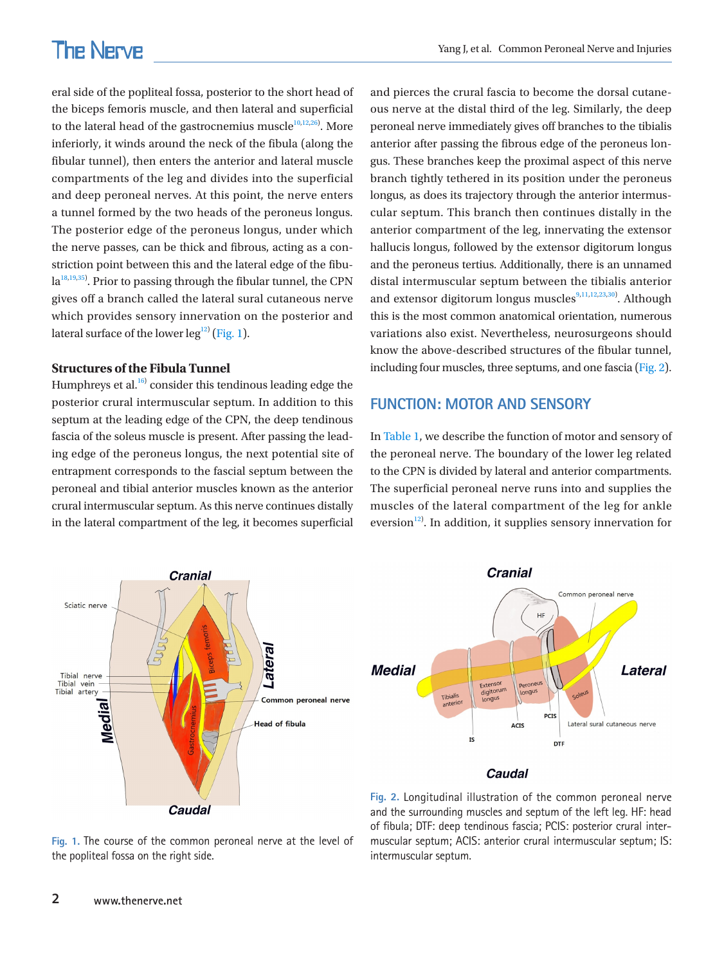eral side of the popliteal fossa, posterior to the short head of the biceps femoris muscle, and then lateral and superficial to the lateral head of the gastrocnemius muscle $10,12,26$  $10,12,26$  $10,12,26$  $10,12,26$ . More inferiorly, it winds around the neck of the fibula (along the fibular tunnel), then enters the anterior and lateral muscle compartments of the leg and divides into the superficial and deep peroneal nerves. At this point, the nerve enters a tunnel formed by the two heads of the peroneus longus. The posterior edge of the peroneus longus, under which the nerve passes, can be thick and fibrous, acting as a constriction point between this and the lateral edge of the fibu- $la^{18,19,35)}$  $la^{18,19,35)}$  $la^{18,19,35)}$  $la^{18,19,35)}$ . Prior to passing through the fibular tunnel, the CPN gives off a branch called the lateral sural cutaneous nerve which provides sensory innervation on the posterior and lateral surface of the lower leg $^{12)}$  [\(Fig. 1\)](#page-1-0).

### **Structures of the Fibula Tunnel**

Humphreys et al. $^{16)}$  consider this tendinous leading edge the posterior crural intermuscular septum. In addition to this septum at the leading edge of the CPN, the deep tendinous fascia of the soleus muscle is present. After passing the leading edge of the peroneus longus, the next potential site of entrapment corresponds to the fascial septum between the peroneal and tibial anterior muscles known as the anterior crural intermuscular septum. As this nerve continues distally in the lateral compartment of the leg, it becomes superficial

and pierces the crural fascia to become the dorsal cutaneous nerve at the distal third of the leg. Similarly, the deep peroneal nerve immediately gives off branches to the tibialis anterior after passing the fibrous edge of the peroneus longus. These branches keep the proximal aspect of this nerve branch tightly tethered in its position under the peroneus longus, as does its trajectory through the anterior intermuscular septum. This branch then continues distally in the anterior compartment of the leg, innervating the extensor hallucis longus, followed by the extensor digitorum longus and the peroneus tertius. Additionally, there is an unnamed distal intermuscular septum between the tibialis anterior and extensor digitorum longus muscles<sup>9[,11](#page-7-3),12,[23,](#page-7-9)30</sup>. Although this is the most common anatomical orientation, numerous variations also exist. Nevertheless, neurosurgeons should know the above-described structures of the fibular tunnel, including four muscles, three septums, and one fascia [\(Fig. 2\)](#page-1-1).

## **FUNCTION: MOTOR AND SENSORY**

In [Table 1](#page-2-0), we describe the function of motor and sensory of the peroneal nerve. The boundary of the lower leg related to the CPN is divided by lateral and anterior compartments. The superficial peroneal nerve runs into and supplies the muscles of the lateral compartment of the leg for ankle eversion $12$ ). In addition, it supplies sensory innervation for

<span id="page-1-0"></span>

<span id="page-1-1"></span>

#### **Caudal**

**Fig. 1.** The course of the common peroneal nerve at the level of the popliteal fossa on the right side.

**Fig. 2.** Longitudinal illustration of the common peroneal nerve and the surrounding muscles and septum of the left leg. HF: head of fibula; DTF: deep tendinous fascia; PCIS: posterior crural intermuscular septum; ACIS: anterior crural intermuscular septum; IS: intermuscular septum.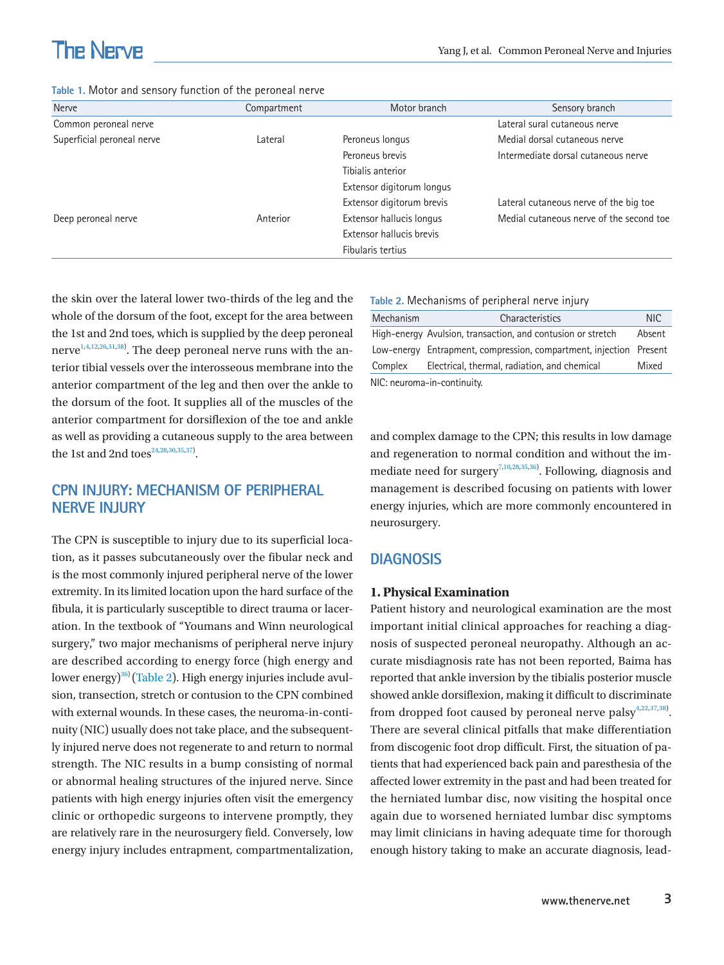<span id="page-2-0"></span>

|  |  |  |  |  |  | Table 1. Motor and sensory function of the peroneal nerve |  |
|--|--|--|--|--|--|-----------------------------------------------------------|--|
|--|--|--|--|--|--|-----------------------------------------------------------|--|

| Nerve                      | Compartment | Motor branch              | Sensory branch                           |
|----------------------------|-------------|---------------------------|------------------------------------------|
| Common peroneal nerve      |             |                           | Lateral sural cutaneous nerve            |
| Superficial peroneal nerve | Lateral     | Peroneus longus           | Medial dorsal cutaneous nerve            |
|                            |             | Peroneus brevis           | Intermediate dorsal cutaneous nerve      |
|                            |             | Tibialis anterior         |                                          |
|                            |             | Extensor digitorum longus |                                          |
|                            |             | Extensor digitorum brevis | Lateral cutaneous nerve of the big toe   |
| Deep peroneal nerve        | Anterior    | Extensor hallucis longus  | Medial cutaneous nerve of the second toe |
|                            |             | Extensor hallucis brevis  |                                          |
|                            |             | Fibularis tertius         |                                          |

the skin over the lateral lower two-thirds of the leg and the whole of the dorsum of the foot, except for the area between the 1st and 2nd toes, which is supplied by the deep peroneal nerve $^{\rm 1,4,12,26,31,38)}$  $^{\rm 1,4,12,26,31,38)}$  $^{\rm 1,4,12,26,31,38)}$  $^{\rm 1,4,12,26,31,38)}$  $^{\rm 1,4,12,26,31,38)}$ . The deep peroneal nerve runs with the anterior tibial vessels over the interosseous membrane into the anterior compartment of the leg and then over the ankle to the dorsum of the foot. It supplies all of the muscles of the anterior compartment for dorsiflexion of the toe and ankle as well as providing a cutaneous supply to the area between the 1st and 2nd toes $24,28,30,35,37$  $24,28,30,35,37$  $24,28,30,35,37$  $24,28,30,35,37$ .

## **CPN INJURY: MECHANISM OF PERIPHERAL NERVE INJURY**

The CPN is susceptible to injury due to its superficial location, as it passes subcutaneously over the fibular neck and is the most commonly injured peripheral nerve of the lower extremity. In its limited location upon the hard surface of the fibula, it is particularly susceptible to direct trauma or laceration. In the textbook of "Youmans and Winn neurological surgery," two major mechanisms of peripheral nerve injury are described according to energy force (high energy and lower energy) $36$ ) ([Table 2\)](#page-2-1). High energy injuries include avulsion, transection, stretch or contusion to the CPN combined with external wounds. In these cases, the neuroma-in-continuity (NIC) usually does not take place, and the subsequently injured nerve does not regenerate to and return to normal strength. The NIC results in a bump consisting of normal or abnormal healing structures of the injured nerve. Since patients with high energy injuries often visit the emergency clinic or orthopedic surgeons to intervene promptly, they are relatively rare in the neurosurgery field. Conversely, low energy injury includes entrapment, compartmentalization,

<span id="page-2-1"></span>

|  |  | Table 2. Mechanisms of peripheral nerve injury |  |  |  |  |
|--|--|------------------------------------------------|--|--|--|--|
|--|--|------------------------------------------------|--|--|--|--|

| Mechanism                   | Characteristics                                                    | NIC.   |  |  |  |  |
|-----------------------------|--------------------------------------------------------------------|--------|--|--|--|--|
|                             | High-energy Avulsion, transaction, and contusion or stretch        | Absent |  |  |  |  |
|                             | Low-energy Entrapment, compression, compartment, injection Present |        |  |  |  |  |
| Complex                     | Electrical, thermal, radiation, and chemical                       | Mixed  |  |  |  |  |
| NIC: neuroma-in-continuity. |                                                                    |        |  |  |  |  |

and complex damage to the CPN; this results in low damage and regeneration to normal condition and without the im-mediate need for surgery<sup>7,10,[28](#page-7-13),3[5,36](#page-8-5))</sup>. Following, diagnosis and management is described focusing on patients with lower energy injuries, which are more commonly encountered in neurosurgery.

## **DIAGNOSIS**

### **1. Physical Examination**

Patient history and neurological examination are the most important initial clinical approaches for reaching a diagnosis of suspected peroneal neuropathy. Although an accurate misdiagnosis rate has not been reported, Baima has reported that ankle inversion by the tibialis posterior muscle showed ankle dorsiflexion, making it difficult to discriminate from dropped foot caused by peroneal nerve palsy $4,22,37,38$  $4,22,37,38$  $4,22,37,38$ . There are several clinical pitfalls that make differentiation from discogenic foot drop difficult. First, the situation of patients that had experienced back pain and paresthesia of the affected lower extremity in the past and had been treated for the herniated lumbar disc, now visiting the hospital once again due to worsened herniated lumbar disc symptoms may limit clinicians in having adequate time for thorough enough history taking to make an accurate diagnosis, lead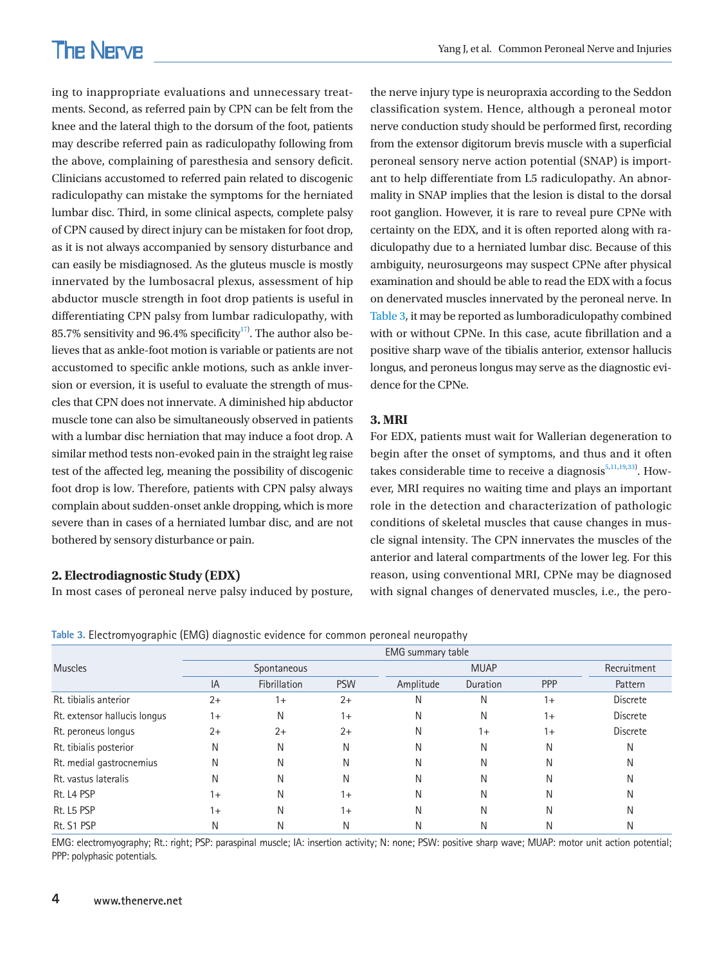ing to inappropriate evaluations and unnecessary treatments. Second, as referred pain by CPN can be felt from the knee and the lateral thigh to the dorsum of the foot, patients may describe referred pain as radiculopathy following from the above, complaining of paresthesia and sensory deficit. Clinicians accustomed to referred pain related to discogenic radiculopathy can mistake the symptoms for the herniated lumbar disc. Third, in some clinical aspects, complete palsy of CPN caused by direct injury can be mistaken for foot drop, as it is not always accompanied by sensory disturbance and can easily be misdiagnosed. As the gluteus muscle is mostly innervated by the lumbosacral plexus, assessment of hip abductor muscle strength in foot drop patients is useful in differentiating CPN palsy from lumbar radiculopathy, with 85.7% sensitivity and 96.4% specificity $17$ . The author also believes that as ankle-foot motion is variable or patients are not accustomed to specific ankle motions, such as ankle inversion or eversion, it is useful to evaluate the strength of muscles that CPN does not innervate. A diminished hip abductor muscle tone can also be simultaneously observed in patients with a lumbar disc herniation that may induce a foot drop. A similar method tests non-evoked pain in the straight leg raise test of the affected leg, meaning the possibility of discogenic foot drop is low. Therefore, patients with CPN palsy always complain about sudden-onset ankle dropping, which is more severe than in cases of a herniated lumbar disc, and are not bothered by sensory disturbance or pain.

## **2. Electrodiagnostic Study (EDX)**

In most cases of peroneal nerve palsy induced by posture,

the nerve injury type is neuropraxia according to the Seddon classification system. Hence, although a peroneal motor nerve conduction study should be performed first, recording from the extensor digitorum brevis muscle with a superficial peroneal sensory nerve action potential (SNAP) is important to help differentiate from L5 radiculopathy. An abnormality in SNAP implies that the lesion is distal to the dorsal root ganglion. However, it is rare to reveal pure CPNe with certainty on the EDX, and it is often reported along with radiculopathy due to a herniated lumbar disc. Because of this ambiguity, neurosurgeons may suspect CPNe after physical examination and should be able to read the EDX with a focus on denervated muscles innervated by the peroneal nerve. In [Table 3,](#page-3-0) it may be reported as lumboradiculopathy combined with or without CPNe. In this case, acute fibrillation and a positive sharp wave of the tibialis anterior, extensor hallucis longus, and peroneus longus may serve as the diagnostic evidence for the CPNe.

### **3. MRI**

For EDX, patients must wait for Wallerian degeneration to begin after the onset of symptoms, and thus and it often takes considerable time to receive a diagnosis $5,11,19,33$  $5,11,19,33$ . However, MRI requires no waiting time and plays an important role in the detection and characterization of pathologic conditions of skeletal muscles that cause changes in muscle signal intensity. The CPN innervates the muscles of the anterior and lateral compartments of the lower leg. For this reason, using conventional MRI, CPNe may be diagnosed with signal changes of denervated muscles, i.e., the pero-

<span id="page-3-0"></span>

|  | Table 3. Electromyographic (EMG) diagnostic evidence for common peroneal neuropathy |  |
|--|-------------------------------------------------------------------------------------|--|
|--|-------------------------------------------------------------------------------------|--|

|                              | <b>EMG</b> summary table |              |            |           |             |      |                 |
|------------------------------|--------------------------|--------------|------------|-----------|-------------|------|-----------------|
| <b>Muscles</b>               | Spontaneous              |              |            |           | <b>MUAP</b> |      |                 |
|                              | IA                       | Fibrillation | <b>PSW</b> | Amplitude | Duration    | PPP  | Pattern         |
| Rt. tibialis anterior        | $2+$                     | $1+$         | $2+$       | N         | Ν           | $1+$ | <b>Discrete</b> |
| Rt. extensor hallucis longus | $1+$                     | N            | $1+$       | N         | Ν           | $1+$ | Discrete        |
| Rt. peroneus longus          | $2+$                     | $2+$         | $2+$       | N         | $1+$        | $1+$ | <b>Discrete</b> |
| Rt. tibialis posterior       | N                        | N            | N          | N         | Ν           | Ν    | N               |
| Rt. medial gastrocnemius     | Ν                        | N            | N          | N         | N           | N    | N               |
| Rt. vastus lateralis         | Ν                        | N            | N          | N         | Ν           | N    | N               |
| Rt. L4 PSP                   | $1+$                     | N            | $1+$       | N         | Ν           | Ν    | N               |
| Rt. L5 PSP                   | $1+$                     | N            | $1+$       | N         | Ν           | Ν    | N               |
| Rt. S1 PSP                   | Ν                        | Ν            | Ν          | N         | Ν           | N    | Ν               |

EMG: electromyography; Rt.: right; PSP: paraspinal muscle; IA: insertion activity; N: none; PSW: positive sharp wave; MUAP: motor unit action potential; PPP: polyphasic potentials.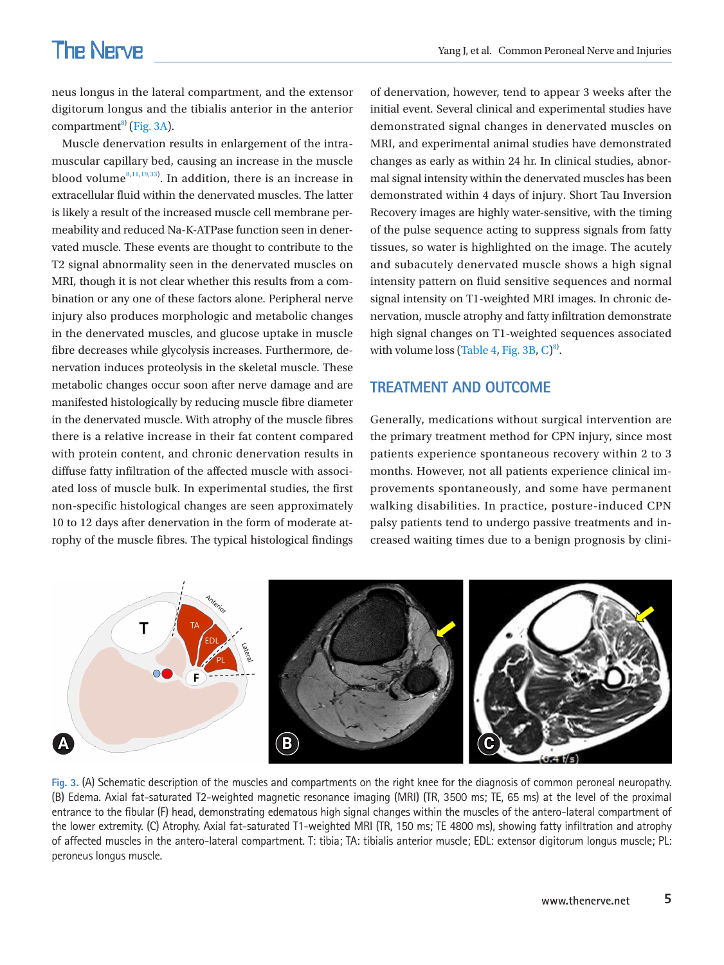neus longus in the lateral compartment, and the extensor digitorum longus and the tibialis anterior in the anterior compartment $^{8}$  [\(Fig. 3A\)](#page-4-0).

Muscle denervation results in enlargement of the intramuscular capillary bed, causing an increase in the muscle blood volume $^{8,11,19,33)}$ . In addition, there is an increase in extracellular fluid within the denervated muscles. The latter is likely a result of the increased muscle cell membrane permeability and reduced Na-K-ATPase function seen in denervated muscle. These events are thought to contribute to the T2 signal abnormality seen in the denervated muscles on MRI, though it is not clear whether this results from a combination or any one of these factors alone. Peripheral nerve injury also produces morphologic and metabolic changes in the denervated muscles, and glucose uptake in muscle fibre decreases while glycolysis increases. Furthermore, denervation induces proteolysis in the skeletal muscle. These metabolic changes occur soon after nerve damage and are manifested histologically by reducing muscle fibre diameter in the denervated muscle. With atrophy of the muscle fibres there is a relative increase in their fat content compared with protein content, and chronic denervation results in diffuse fatty infiltration of the affected muscle with associated loss of muscle bulk. In experimental studies, the first non-specific histological changes are seen approximately 10 to 12 days after denervation in the form of moderate atrophy of the muscle fibres. The typical histological findings

of denervation, however, tend to appear 3 weeks after the initial event. Several clinical and experimental studies have demonstrated signal changes in denervated muscles on MRI, and experimental animal studies have demonstrated changes as early as within 24 hr. In clinical studies, abnormal signal intensity within the denervated muscles has been demonstrated within 4 days of injury. Short Tau Inversion Recovery images are highly water-sensitive, with the timing of the pulse sequence acting to suppress signals from fatty tissues, so water is highlighted on the image. The acutely and subacutely denervated muscle shows a high signal intensity pattern on fluid sensitive sequences and normal signal intensity on T1-weighted MRI images. In chronic denervation, muscle atrophy and fatty infiltration demonstrate high signal changes on T1-weighted sequences associated with volume loss ([Table 4,](#page-5-0) Fig. 3B,  $C$ )<sup>8)</sup>.

## **TREATMENT AND OUTCOME**

Generally, medications without surgical intervention are the primary treatment method for CPN injury, since most patients experience spontaneous recovery within 2 to 3 months. However, not all patients experience clinical improvements spontaneously, and some have permanent walking disabilities. In practice, posture-induced CPN palsy patients tend to undergo passive treatments and increased waiting times due to a benign prognosis by clini-

<span id="page-4-0"></span>

**Fig. 3.** (A) Schematic description of the muscles and compartments on the right knee for the diagnosis of common peroneal neuropathy. (B) Edema. Axial fat-saturated T2-weighted magnetic resonance imaging (MRI) (TR, 3500 ms; TE, 65 ms) at the level of the proximal entrance to the fibular (F) head, demonstrating edematous high signal changes within the muscles of the antero-lateral compartment of the lower extremity. (C) Atrophy. Axial fat-saturated T1-weighted MRI (TR, 150 ms; TE 4800 ms), showing fatty infiltration and atrophy of affected muscles in the antero-lateral compartment. T: tibia; TA: tibialis anterior muscle; EDL: extensor digitorum longus muscle; PL: peroneus longus muscle.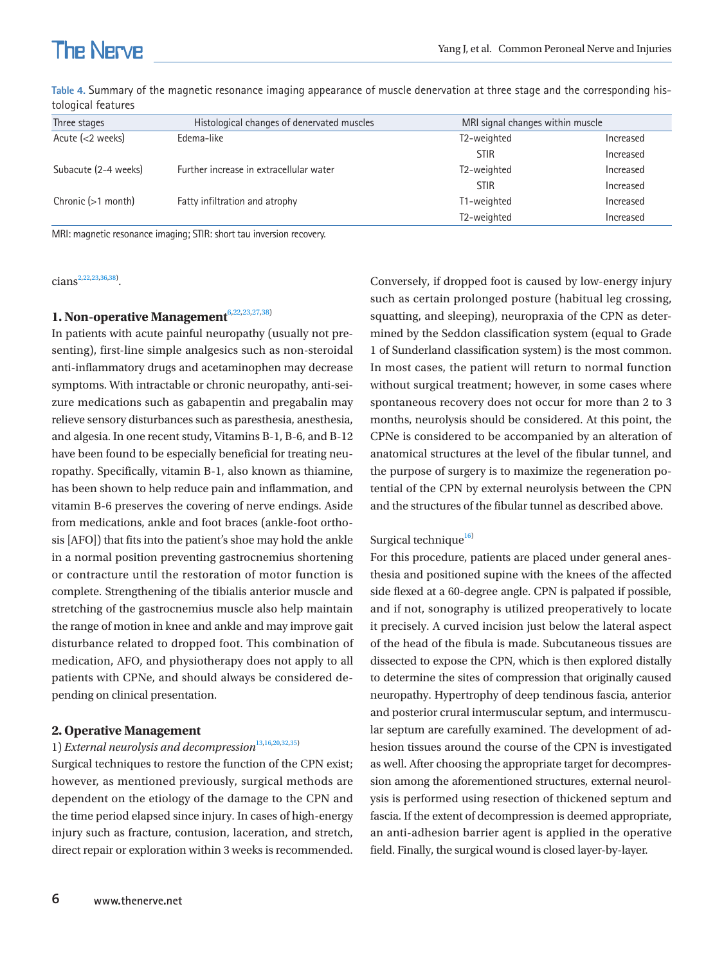| Three stages         | Histological changes of denervated muscles |                          | MRI signal changes within muscle |  |  |
|----------------------|--------------------------------------------|--------------------------|----------------------------------|--|--|
| Acute $(<$ 2 weeks)  | Edema-like                                 | T2-weighted              | Increased                        |  |  |
|                      |                                            | <b>STIR</b>              | Increased                        |  |  |
| Subacute (2-4 weeks) | Further increase in extracellular water    | T2-weighted              | Increased                        |  |  |
|                      |                                            | <b>STIR</b>              | Increased                        |  |  |
| Chronic (>1 month)   | Fatty infiltration and atrophy             | T1-weighted              | Increased                        |  |  |
|                      |                                            | T <sub>2</sub> -weighted | Increased                        |  |  |

<span id="page-5-0"></span>**Table 4.** Summary of the magnetic resonance imaging appearance of muscle denervation at three stage and the corresponding histological features

MRI: magnetic resonance imaging; STIR: short tau inversion recovery.

 $cians^{2,22,23,36,38}.$ 

#### **1. Non-operative Management**<sup>6,22,23,[27,](#page-7-12)38)</sup>

In patients with acute painful neuropathy (usually not presenting), first-line simple analgesics such as non-steroidal anti-inflammatory drugs and acetaminophen may decrease symptoms. With intractable or chronic neuropathy, anti-seizure medications such as gabapentin and pregabalin may relieve sensory disturbances such as paresthesia, anesthesia, and algesia. In one recent study, Vitamins B-1, B-6, and B-12 have been found to be especially beneficial for treating neuropathy. Specifically, vitamin B-1, also known as thiamine, has been shown to help reduce pain and inflammation, and vitamin B-6 preserves the covering of nerve endings. Aside from medications, ankle and foot braces (ankle-foot orthosis [AFO]) that fits into the patient's shoe may hold the ankle in a normal position preventing gastrocnemius shortening or contracture until the restoration of motor function is complete. Strengthening of the tibialis anterior muscle and stretching of the gastrocnemius muscle also help maintain the range of motion in knee and ankle and may improve gait disturbance related to dropped foot. This combination of medication, AFO, and physiotherapy does not apply to all patients with CPNe, and should always be considered depending on clinical presentation.

#### **2. Operative Management**

## 1) *External neurolysis and decompression*<sup>[13](#page-7-17),[16](#page-7-1),[20](#page-7-18)[,32](#page-8-1),35)</sup>

Surgical techniques to restore the function of the CPN exist; however, as mentioned previously, surgical methods are dependent on the etiology of the damage to the CPN and the time period elapsed since injury. In cases of high-energy injury such as fracture, contusion, laceration, and stretch, direct repair or exploration within 3 weeks is recommended. Conversely, if dropped foot is caused by low-energy injury such as certain prolonged posture (habitual leg crossing, squatting, and sleeping), neuropraxia of the CPN as determined by the Seddon classification system (equal to Grade 1 of Sunderland classification system) is the most common. In most cases, the patient will return to normal function without surgical treatment; however, in some cases where spontaneous recovery does not occur for more than 2 to 3 months, neurolysis should be considered. At this point, the CPNe is considered to be accompanied by an alteration of anatomical structures at the level of the fibular tunnel, and the purpose of surgery is to maximize the regeneration potential of the CPN by external neurolysis between the CPN and the structures of the fibular tunnel as described above.

#### Surgical technique<sup>[16\)](#page-7-1)</sup>

For this procedure, patients are placed under general anesthesia and positioned supine with the knees of the affected side flexed at a 60-degree angle. CPN is palpated if possible, and if not, sonography is utilized preoperatively to locate it precisely. A curved incision just below the lateral aspect of the head of the fibula is made. Subcutaneous tissues are dissected to expose the CPN, which is then explored distally to determine the sites of compression that originally caused neuropathy. Hypertrophy of deep tendinous fascia, anterior and posterior crural intermuscular septum, and intermuscular septum are carefully examined. The development of adhesion tissues around the course of the CPN is investigated as well. After choosing the appropriate target for decompression among the aforementioned structures, external neurolysis is performed using resection of thickened septum and fascia. If the extent of decompression is deemed appropriate, an anti-adhesion barrier agent is applied in the operative field. Finally, the surgical wound is closed layer-by-layer.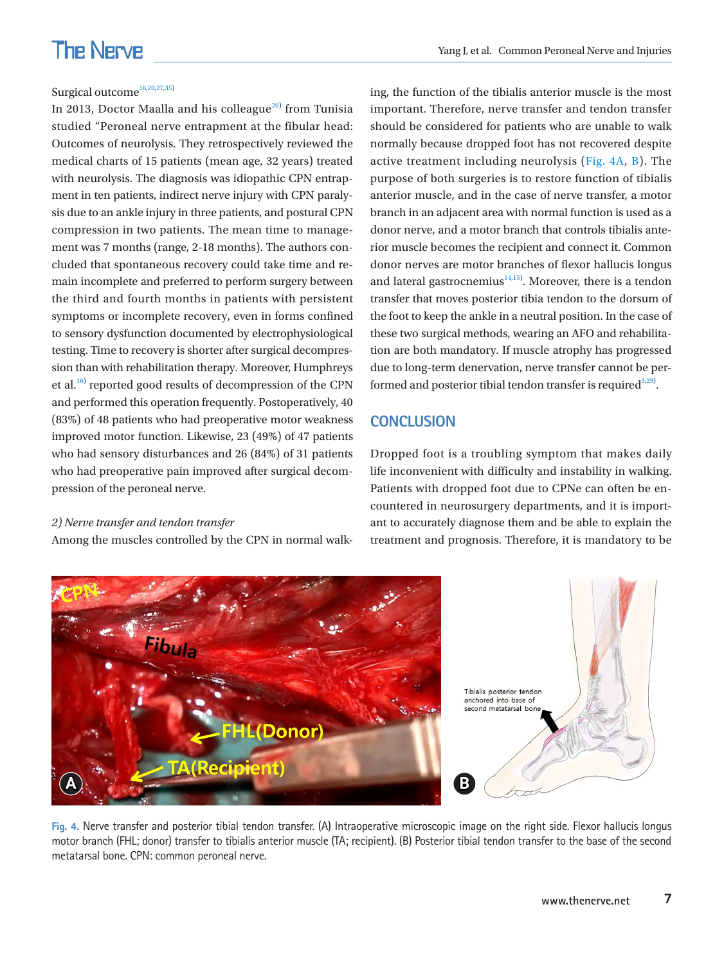### Surgical outcome<sup>[16](#page-7-1)[,20](#page-7-18),27,35</sup>

In 2013, Doctor Maalla and his colleague $^{20)}$  $^{20)}$  $^{20)}$  from Tunisia studied "Peroneal nerve entrapment at the fibular head: Outcomes of neurolysis. They retrospectively reviewed the medical charts of 15 patients (mean age, 32 years) treated with neurolysis. The diagnosis was idiopathic CPN entrapment in ten patients, indirect nerve injury with CPN paralysis due to an ankle injury in three patients, and postural CPN compression in two patients. The mean time to management was 7 months (range, 2-18 months). The authors concluded that spontaneous recovery could take time and remain incomplete and preferred to perform surgery between the third and fourth months in patients with persistent symptoms or incomplete recovery, even in forms confined to sensory dysfunction documented by electrophysiological testing. Time to recovery is shorter after surgical decompression than with rehabilitation therapy. Moreover, Humphreys et al.<sup>16)</sup> reported good results of decompression of the CPN and performed this operation frequently. Postoperatively, 40 (83%) of 48 patients who had preoperative motor weakness improved motor function. Likewise, 23 (49%) of 47 patients who had sensory disturbances and 26 (84%) of 31 patients who had preoperative pain improved after surgical decompression of the peroneal nerve.

#### *2) Nerve transfer and tendon transfer*

Among the muscles controlled by the CPN in normal walk-

ing, the function of the tibialis anterior muscle is the most important. Therefore, nerve transfer and tendon transfer should be considered for patients who are unable to walk normally because dropped foot has not recovered despite active treatment including neurolysis [\(Fig. 4A, B](#page-6-0)). The purpose of both surgeries is to restore function of tibialis anterior muscle, and in the case of nerve transfer, a motor branch in an adjacent area with normal function is used as a donor nerve, and a motor branch that controls tibialis anterior muscle becomes the recipient and connect it. Common donor nerves are motor branches of flexor hallucis longus and lateral gastrocnemius $14,15$  $14,15$ . Moreover, there is a tendon transfer that moves posterior tibia tendon to the dorsum of the foot to keep the ankle in a neutral position. In the case of these two surgical methods, wearing an AFO and rehabilitation are both mandatory. If muscle atrophy has progressed due to long-term denervation, nerve transfer cannot be performed and posterior tibial tendon transfer is required  $3,29$  $3,29$ .

## **CONCLUSION**

Dropped foot is a troubling symptom that makes daily life inconvenient with difficulty and instability in walking. Patients with dropped foot due to CPNe can often be encountered in neurosurgery departments, and it is important to accurately diagnose them and be able to explain the treatment and prognosis. Therefore, it is mandatory to be

<span id="page-6-0"></span>

**Fig. 4.** Nerve transfer and posterior tibial tendon transfer. (A) Intraoperative microscopic image on the right side. Flexor hallucis longus motor branch (FHL; donor) transfer to tibialis anterior muscle (TA; recipient). (B) Posterior tibial tendon transfer to the base of the second metatarsal bone. CPN: common peroneal nerve.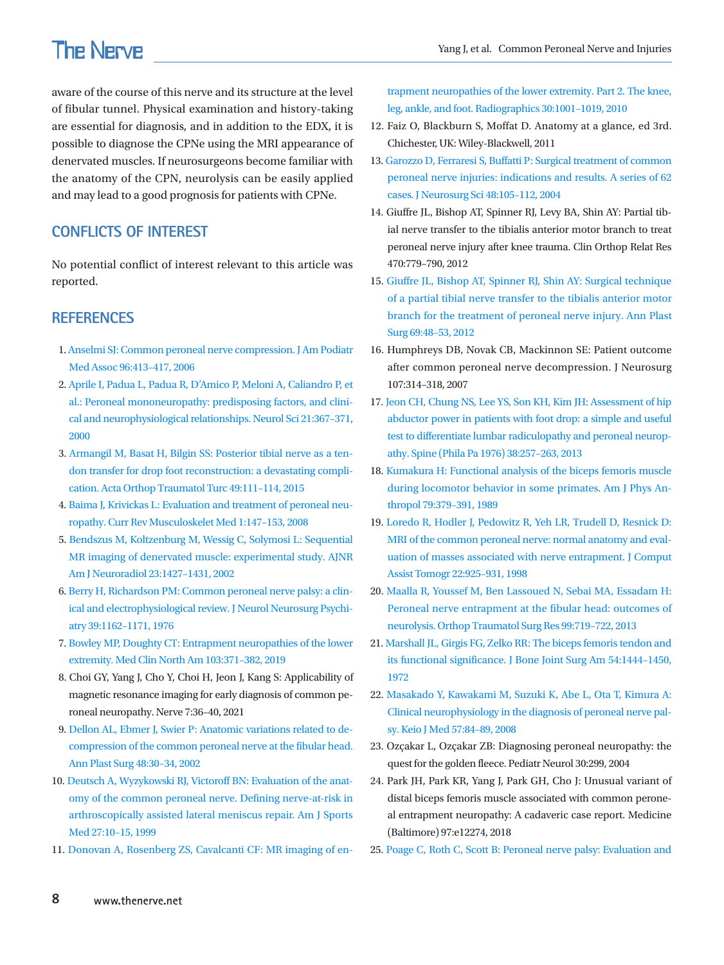aware of the course of this nerve and its structure at the level of fibular tunnel. Physical examination and history-taking are essential for diagnosis, and in addition to the EDX, it is possible to diagnose the CPNe using the MRI appearance of denervated muscles. If neurosurgeons become familiar with the anatomy of the CPN, neurolysis can be easily applied and may lead to a good prognosis for patients with CPNe.

## **CONFLICTS OF INTEREST**

<span id="page-7-4"></span>No potential conflict of interest relevant to this article was reported.

## <span id="page-7-11"></span>**REFERENCES**

- 1. [Anselmi SJ: Common peroneal nerve compression. J Am Podiatr](https://doi.org/10.7547/0960413)  [Med Assoc 96:413–417, 2006](https://doi.org/10.7547/0960413)
- <span id="page-7-0"></span>2. Aprile I, Padua L, Padua R, D['Amico P, Meloni A, Caliandro P, et](https://www.ncbi.nlm.nih.gov/pubmed/11441574)  [al.: Peroneal mononeuropathy: predisposing factors, and clini](https://www.ncbi.nlm.nih.gov/pubmed/11441574)[cal and neurophysiological relationships. Neurol Sci 21:367–371,](https://www.ncbi.nlm.nih.gov/pubmed/11441574)  [2000](https://www.ncbi.nlm.nih.gov/pubmed/11441574)
- <span id="page-7-2"></span>3[. Armangil M, Basat H, Bilgin SS: Posterior tibial nerve as a ten](https://doi.org/10.3944/aott.2015.3086)[don transfer for drop foot reconstruction: a devastating compli](https://doi.org/10.3944/aott.2015.3086)[cation. Acta Orthop Traumatol Turc 49:111–114, 201](https://doi.org/10.3944/aott.2015.3086)5
- 4. [Baima J, Krivickas L: Evaluation and treatment of peroneal neu](https://www.ncbi.nlm.nih.gov/pubmed/19468889)[ropathy. Curr Rev Musculoskelet Med 1:147–153, 2008](https://www.ncbi.nlm.nih.gov/pubmed/19468889)
- <span id="page-7-16"></span>5[. Bendszus M, Koltzenburg M, Wessig C, Solymosi L: Sequential](https://www.ncbi.nlm.nih.gov/pubmed/12223392)  [MR imaging of denervated muscle: experimental study. AJNR](https://www.ncbi.nlm.nih.gov/pubmed/12223392)  [Am J Neuroradiol 23:1427–1431, 200](https://www.ncbi.nlm.nih.gov/pubmed/12223392)2
- <span id="page-7-5"></span>6. Berry H, Richa[rdson PM: Common peroneal nerve palsy: a clin](https://www.ncbi.nlm.nih.gov/pubmed/1011026)[ical and electrophysiological review. J Neurol Neurosurg Psychi](https://www.ncbi.nlm.nih.gov/pubmed/1011026)[atry 39:1162–1171, 1976](https://www.ncbi.nlm.nih.gov/pubmed/1011026)
- <span id="page-7-10"></span>7. [Bowley MP, Doughty CT: Entrapment neuropathies of the lower](https://doi.org/10.1016/j.mcna.2018.10.013)  [extremity. Med Clin North Am 103:371–382, 2019](https://doi.org/10.1016/j.mcna.2018.10.013)
- <span id="page-7-3"></span>8. Choi GY, Yang J, Cho Y, Choi H, Jeon J, Kang S: Applicability of magnetic resonance imaging for early diagnosis of common peroneal neuropathy. Nerve 7:36–40, 2021
- 9. [Dellon AL, Ebmer J, Swier P: Anatomic variations related to de](https://doi.org/10.1097/00000637-200201000-00004)[compression of the common peroneal nerve at the fibular head.](https://doi.org/10.1097/00000637-200201000-00004)  [Ann Plast Surg 48:30–34, 2002](https://doi.org/10.1097/00000637-200201000-00004)
- 10. [Deutsch A, Wyzykowski RJ, Victoroff BN: Evaluation of the anat](https://www.ncbi.nlm.nih.gov/pubmed/9934412)[omy of the common peroneal nerve. Defining nerve-at-risk in](https://www.ncbi.nlm.nih.gov/pubmed/9934412)  [arthroscopically assisted lateral meniscus repair. Am J Sports](https://www.ncbi.nlm.nih.gov/pubmed/9934412)  [Med 27:10–15, 1999](https://www.ncbi.nlm.nih.gov/pubmed/9934412)
- 11. [Donovan A, Rosenberg ZS, Cavalcanti CF: MR imaging of en-](https://doi.org/10.1148/rg.304095188)

[trapment neuropathies of the lower extremity. Part 2. The knee,](https://doi.org/10.1148/rg.304095188)  [leg, ankle, and foot. Radiographics 30:1001–1019, 2010](https://doi.org/10.1148/rg.304095188)

- <span id="page-7-6"></span>12. Faiz O, Blackburn S, Moffat D. Anatomy at a glance, ed 3rd. Chichester, UK: Wiley-Blackwell, 2011
- <span id="page-7-17"></span>1[3. Garozzo D, Ferraresi S, Buffatti P: Surgical treatment of common](https://www.ncbi.nlm.nih.gov/pubmed/15557879)  [peroneal nerve injuries: indications and results. A series of 62](https://www.ncbi.nlm.nih.gov/pubmed/15557879)  [cases. J Neurosurg Sci 48:105–112, 200](https://www.ncbi.nlm.nih.gov/pubmed/15557879)4
- <span id="page-7-19"></span>14. Giuffre JL, Bishop AT, Spinner RJ, Levy BA, Shin AY: Partial tibial nerve transfer to the tibialis anterior motor branch to treat peroneal nerve injury after knee trauma. Clin Orthop Relat Res 470:779–790, 2012
- <span id="page-7-20"></span>15[. Giuffre JL, Bishop AT, Spinner RJ, Shin AY: Surgical technique](https://doi.org/10.1097/sap.0b013e31824c94e5)  [of a partial tibial nerve transfer to the tibialis anterior motor](https://doi.org/10.1097/sap.0b013e31824c94e5)  [branch for the treatment of peroneal nerve injury. Ann Plast](https://doi.org/10.1097/sap.0b013e31824c94e5)  [Surg 69:48–53, 2012](https://doi.org/10.1097/sap.0b013e31824c94e5)
- <span id="page-7-1"></span>16. Humphreys DB, Novak CB, Mackinnon SE: Patient outcome after common peroneal nerve decompression. J Neurosurg 107:314–318, 2007
- <span id="page-7-18"></span><span id="page-7-15"></span>17. Jeon CH, Chung NS, Lee YS, Son KH, Kim JH: Assessment of hip abductor p[ower in patients with foot drop: a simple and useful](https://www.ncbi.nlm.nih.gov/pubmed/22805342)  [test to differentiate lumbar radiculopathy and peroneal neurop](https://www.ncbi.nlm.nih.gov/pubmed/22805342)[athy. Spine \(Phila Pa 1976\) 38:257–263, 2013](https://www.ncbi.nlm.nih.gov/pubmed/22805342)
- <span id="page-7-14"></span>18. Kumakura H: Functional analysis of the biceps femoris muscle during locomotor behavior in some primates. Am J Phys Anthr[opol 79:379–391, 1989](https://www.ncbi.nlm.nih.gov/pubmed/2504047)
- 19. [Loredo R, Hodler J, Pedowitz R, Yeh LR, Trudell D, Resnick D:](https://www.ncbi.nlm.nih.gov/pubmed/9843235)  [MRI of the common peroneal nerve: normal anatomy and eval](https://www.ncbi.nlm.nih.gov/pubmed/9843235)[uation of masses associated with nerve entrapment. J Comput](https://www.ncbi.nlm.nih.gov/pubmed/9843235)  [Assist Tomogr 22:925–931, 1998](https://www.ncbi.nlm.nih.gov/pubmed/9843235)
- 20. [Maalla R, Youssef M, Ben Lassoued N, Sebai MA, Essadam H:](https://www.ncbi.nlm.nih.gov/pubmed/23988424)  [Peroneal nerve entrapment at the fibular head: outcomes of](https://www.ncbi.nlm.nih.gov/pubmed/23988424)  [neurolysis. Orthop Traumatol Surg Res 99:719–722, 2013](https://www.ncbi.nlm.nih.gov/pubmed/23988424)
- <span id="page-7-7"></span>2[1. Marshall JL, Girgis FG, Zelko RR: The biceps femoris tendon and](https://doi.org/10.2106/00004623-197254070-00006)  [its functional significance. J Bone Joint Surg Am 54:1444–1450,](https://doi.org/10.2106/00004623-197254070-00006)  [1972](https://doi.org/10.2106/00004623-197254070-00006)
- 22. [Masakado Y, Kawakami M, Suzuki K, Abe L, Ota T, Kimura A:](https://www.ncbi.nlm.nih.gov/pubmed/18677088)  [Clinical neurophysiology in the diagnosis of peroneal nerve pal](https://www.ncbi.nlm.nih.gov/pubmed/18677088)[sy. Keio J Med 57:84–89, 2008](https://www.ncbi.nlm.nih.gov/pubmed/18677088)
- <span id="page-7-9"></span>23. Ozçakar L, Ozçakar ZB: Diagnosing peroneal neuropathy: the quest for the golden fleece. Pediatr Neurol 30:299, 2004
- <span id="page-7-13"></span><span id="page-7-12"></span>24. Park JH, Park KR, Yang J, Park GH, Cho J: Unusual variant of distal biceps femoris muscle associated with common peroneal entrapment neuropathy: A cadaveric case report. Medicine (Baltimore) 97:e12274, 2018
- <span id="page-7-8"></span>2[5. Poage C, Roth C, Scott B: Peroneal nerve palsy: Evaluation and](https://www.ncbi.nlm.nih.gov/pubmed/26700629)